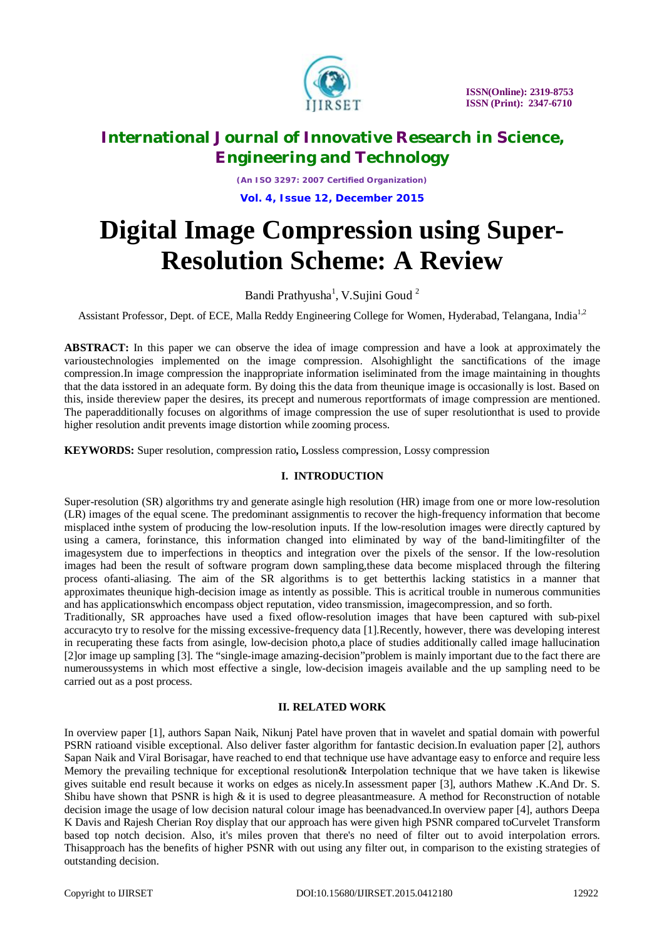

*(An ISO 3297: 2007 Certified Organization)* **Vol. 4, Issue 12, December 2015**

# **Digital Image Compression using Super-Resolution Scheme: A Review**

Bandi Prathyusha<sup>1</sup>, V.Sujini Goud<sup>2</sup>

Assistant Professor, Dept. of ECE, Malla Reddy Engineering College for Women, Hyderabad, Telangana, India<sup>1,2</sup>

**ABSTRACT:** In this paper we can observe the idea of image compression and have a look at approximately the varioustechnologies implemented on the image compression. Alsohighlight the sanctifications of the image compression.In image compression the inappropriate information iseliminated from the image maintaining in thoughts that the data isstored in an adequate form. By doing this the data from theunique image is occasionally is lost. Based on this, inside thereview paper the desires, its precept and numerous reportformats of image compression are mentioned. The paperadditionally focuses on algorithms of image compression the use of super resolutionthat is used to provide higher resolution andit prevents image distortion while zooming process.

**KEYWORDS:** Super resolution, compression ratio**,** Lossless compression, Lossy compression

### **I. INTRODUCTION**

Super-resolution (SR) algorithms try and generate asingle high resolution (HR) image from one or more low-resolution (LR) images of the equal scene. The predominant assignmentis to recover the high-frequency information that become misplaced inthe system of producing the low-resolution inputs. If the low-resolution images were directly captured by using a camera, forinstance, this information changed into eliminated by way of the band-limitingfilter of the imagesystem due to imperfections in theoptics and integration over the pixels of the sensor. If the low-resolution images had been the result of software program down sampling,these data become misplaced through the filtering process ofanti-aliasing. The aim of the SR algorithms is to get betterthis lacking statistics in a manner that approximates theunique high-decision image as intently as possible. This is acritical trouble in numerous communities and has applicationswhich encompass object reputation, video transmission, imagecompression, and so forth.

Traditionally, SR approaches have used a fixed oflow-resolution images that have been captured with sub-pixel accuracyto try to resolve for the missing excessive-frequency data [1].Recently, however, there was developing interest in recuperating these facts from asingle, low-decision photo,a place of studies additionally called image hallucination [2]or image up sampling [3]. The "single-image amazing-decision"problem is mainly important due to the fact there are numeroussystems in which most effective a single, low-decision imageis available and the up sampling need to be carried out as a post process.

#### **II. RELATED WORK**

In overview paper [1], authors Sapan Naik, Nikunj Patel have proven that in wavelet and spatial domain with powerful PSRN ratioand visible exceptional. Also deliver faster algorithm for fantastic decision.In evaluation paper [2], authors Sapan Naik and Viral Borisagar, have reached to end that technique use have advantage easy to enforce and require less Memory the prevailing technique for exceptional resolution& Interpolation technique that we have taken is likewise gives suitable end result because it works on edges as nicely.In assessment paper [3], authors Mathew .K.And Dr. S. Shibu have shown that PSNR is high  $\&$  it is used to degree pleasantmeasure. A method for Reconstruction of notable decision image the usage of low decision natural colour image has beenadvanced.In overview paper [4], authors Deepa K Davis and Rajesh Cherian Roy display that our approach has were given high PSNR compared toCurvelet Transform based top notch decision. Also, it's miles proven that there's no need of filter out to avoid interpolation errors. Thisapproach has the benefits of higher PSNR with out using any filter out, in comparison to the existing strategies of outstanding decision.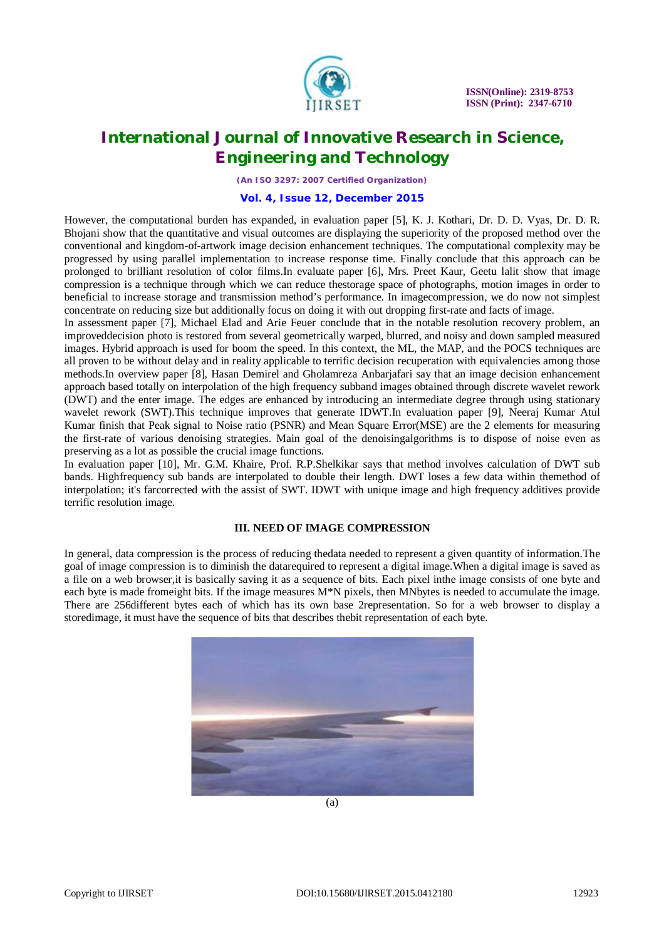

*(An ISO 3297: 2007 Certified Organization)*

#### **Vol. 4, Issue 12, December 2015**

However, the computational burden has expanded, in evaluation paper [5], K. J. Kothari, Dr. D. D. Vyas, Dr. D. R. Bhojani show that the quantitative and visual outcomes are displaying the superiority of the proposed method over the conventional and kingdom-of-artwork image decision enhancement techniques. The computational complexity may be progressed by using parallel implementation to increase response time. Finally conclude that this approach can be prolonged to brilliant resolution of color films.In evaluate paper [6], Mrs. Preet Kaur, Geetu lalit show that image compression is a technique through which we can reduce thestorage space of photographs, motion images in order to beneficial to increase storage and transmission method's performance. In imagecompression, we do now not simplest concentrate on reducing size but additionally focus on doing it with out dropping first-rate and facts of image.

In assessment paper [7], Michael Elad and Arie Feuer conclude that in the notable resolution recovery problem, an improveddecision photo is restored from several geometrically warped, blurred, and noisy and down sampled measured images. Hybrid approach is used for boom the speed. In this context, the ML, the MAP, and the POCS techniques are all proven to be without delay and in reality applicable to terrific decision recuperation with equivalencies among those methods.In overview paper [8], Hasan Demirel and Gholamreza Anbarjafari say that an image decision enhancement approach based totally on interpolation of the high frequency subband images obtained through discrete wavelet rework (DWT) and the enter image. The edges are enhanced by introducing an intermediate degree through using stationary wavelet rework (SWT).This technique improves that generate IDWT.In evaluation paper [9], Neeraj Kumar Atul Kumar finish that Peak signal to Noise ratio (PSNR) and Mean Square Error(MSE) are the 2 elements for measuring the first-rate of various denoising strategies. Main goal of the denoisingalgorithms is to dispose of noise even as preserving as a lot as possible the crucial image functions.

In evaluation paper [10], Mr. G.M. Khaire, Prof. R.P.Shelkikar says that method involves calculation of DWT sub bands. Highfrequency sub bands are interpolated to double their length. DWT loses a few data within themethod of interpolation; it's farcorrected with the assist of SWT. IDWT with unique image and high frequency additives provide terrific resolution image.

#### **III. NEED OF IMAGE COMPRESSION**

In general, data compression is the process of reducing thedata needed to represent a given quantity of information.The goal of image compression is to diminish the datarequired to represent a digital image.When a digital image is saved as a file on a web browser,it is basically saving it as a sequence of bits. Each pixel inthe image consists of one byte and each byte is made fromeight bits. If the image measures  $M^*N$  pixels, then MNbytes is needed to accumulate the image. There are 256different bytes each of which has its own base 2representation. So for a web browser to display a storedimage, it must have the sequence of bits that describes thebit representation of each byte.



(a)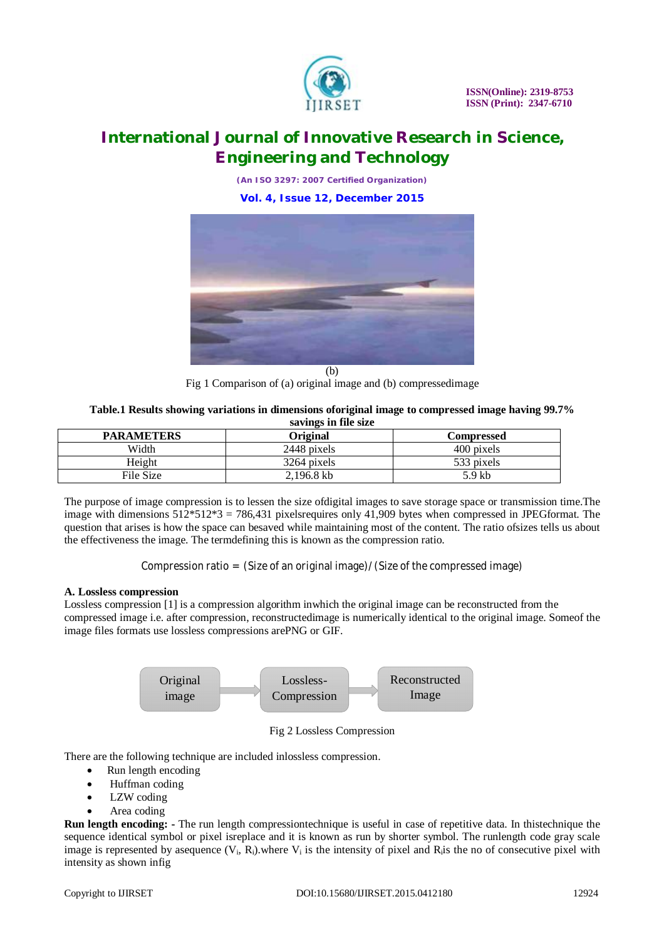

*(An ISO 3297: 2007 Certified Organization)* **Vol. 4, Issue 12, December 2015**



Fig 1 Comparison of (a) original image and (b) compressedimage

**Table.1 Results showing variations in dimensions oforiginal image to compressed image having 99.7% savings in file size**

| 541123111103120   |                 |                   |
|-------------------|-----------------|-------------------|
| <b>PARAMETERS</b> | <b>Original</b> | <b>Compressed</b> |
| Width             | 2448 pixels     | 400 pixels        |
| Height            | 3264 pixels     | 533 pixels        |
| File Size         | 2.196.8 kb      | 5.9 kb            |

The purpose of image compression is to lessen the size ofdigital images to save storage space or transmission time.The image with dimensions 512\*512\*3 = 786,431 pixelsrequires only 41,909 bytes when compressed in JPEGformat. The question that arises is how the space can besaved while maintaining most of the content. The ratio ofsizes tells us about the effectiveness the image. The termdefining this is known as the compression ratio.

Compression ratio = (Size of an original image)/(Size of the compressed image)

### **A. Lossless compression**

Lossless compression [1] is a compression algorithm inwhich the original image can be reconstructed from the compressed image i.e. after compression, reconstructedimage is numerically identical to the original image. Someof the image files formats use lossless compressions arePNG or GIF.



Fig 2 Lossless Compression

There are the following technique are included inlossless compression.

- Run length encoding
- Huffman coding
- LZW coding
- Area coding

**Run length encoding:** - The run length compressiontechnique is useful in case of repetitive data. In thistechnique the sequence identical symbol or pixel isreplace and it is known as run by shorter symbol. The runlength code gray scale image is represented by asequence  $(V_i, R_i)$  where  $V_i$  is the intensity of pixel and  $R_i$  is the no of consecutive pixel with intensity as shown infig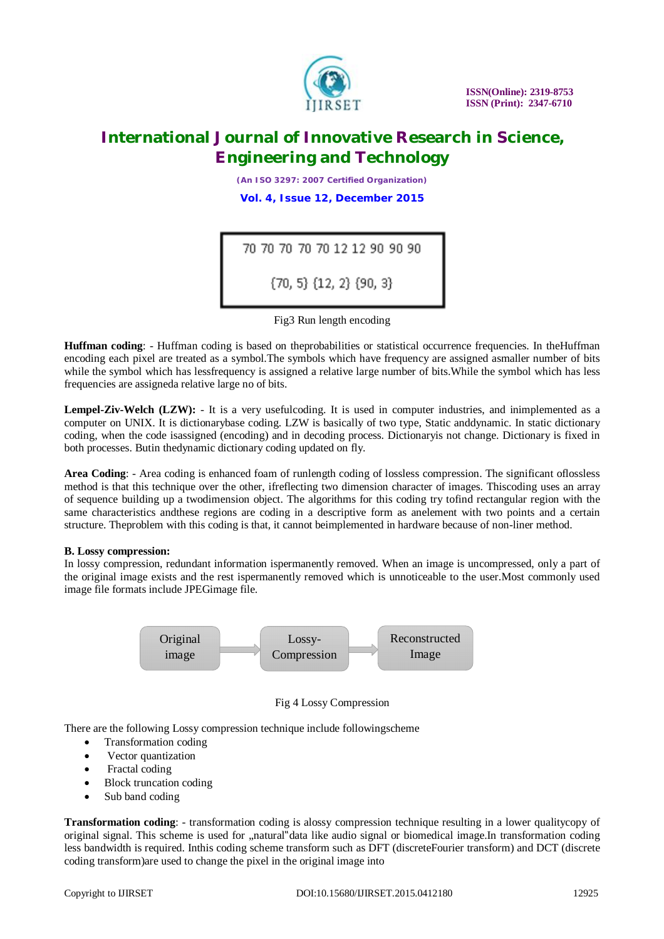

*(An ISO 3297: 2007 Certified Organization)* **Vol. 4, Issue 12, December 2015**

| 70 70 70 70 70 12 12 90 90 90       |  |
|-------------------------------------|--|
| $\{70, 5\}$ $\{12, 2\}$ $\{90, 3\}$ |  |

Fig3 Run length encoding

**Huffman coding**: - Huffman coding is based on theprobabilities or statistical occurrence frequencies. In theHuffman encoding each pixel are treated as a symbol.The symbols which have frequency are assigned asmaller number of bits while the symbol which has lessfrequency is assigned a relative large number of bits.While the symbol which has less frequencies are assigneda relative large no of bits.

**Lempel-Ziv-Welch (LZW):** - It is a very usefulcoding. It is used in computer industries, and inimplemented as a computer on UNIX. It is dictionarybase coding. LZW is basically of two type, Static anddynamic. In static dictionary coding, when the code isassigned (encoding) and in decoding process. Dictionaryis not change. Dictionary is fixed in both processes. Butin thedynamic dictionary coding updated on fly.

**Area Coding**: - Area coding is enhanced foam of runlength coding of lossless compression. The significant oflossless method is that this technique over the other, ifreflecting two dimension character of images. Thiscoding uses an array of sequence building up a twodimension object. The algorithms for this coding try tofind rectangular region with the same characteristics andthese regions are coding in a descriptive form as anelement with two points and a certain structure. Theproblem with this coding is that, it cannot beimplemented in hardware because of non-liner method.

#### **B. Lossy compression:**

In lossy compression, redundant information ispermanently removed. When an image is uncompressed, only a part of the original image exists and the rest ispermanently removed which is unnoticeable to the user.Most commonly used image file formats include JPEGimage file.



Fig 4 Lossy Compression

There are the following Lossy compression technique include followingscheme

- Transformation coding
- Vector quantization
- Fractal coding
- Block truncation coding
- Sub band coding

**Transformation coding**: - transformation coding is alossy compression technique resulting in a lower qualitycopy of original signal. This scheme is used for "natural"data like audio signal or biomedical image.In transformation coding less bandwidth is required. Inthis coding scheme transform such as DFT (discreteFourier transform) and DCT (discrete coding transform)are used to change the pixel in the original image into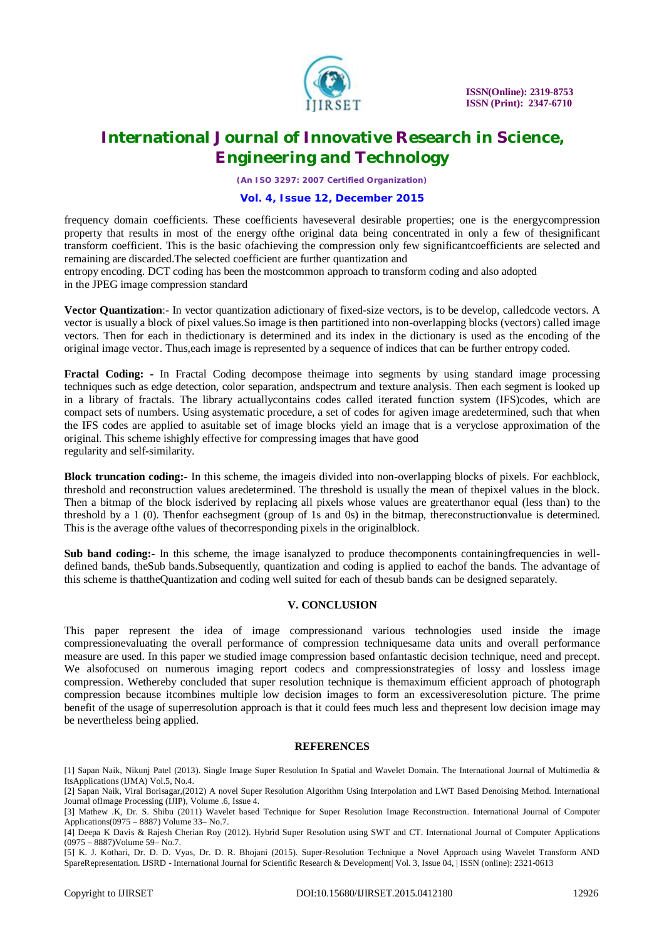

*(An ISO 3297: 2007 Certified Organization)*

### **Vol. 4, Issue 12, December 2015**

frequency domain coefficients. These coefficients haveseveral desirable properties; one is the energycompression property that results in most of the energy ofthe original data being concentrated in only a few of thesignificant transform coefficient. This is the basic ofachieving the compression only few significantcoefficients are selected and remaining are discarded.The selected coefficient are further quantization and

entropy encoding. DCT coding has been the mostcommon approach to transform coding and also adopted in the JPEG image compression standard

**Vector Quantization**:- In vector quantization adictionary of fixed-size vectors, is to be develop, calledcode vectors. A vector is usually a block of pixel values.So image is then partitioned into non-overlapping blocks (vectors) called image vectors. Then for each in thedictionary is determined and its index in the dictionary is used as the encoding of the original image vector. Thus,each image is represented by a sequence of indices that can be further entropy coded.

**Fractal Coding: -** In Fractal Coding decompose theimage into segments by using standard image processing techniques such as edge detection, color separation, andspectrum and texture analysis. Then each segment is looked up in a library of fractals. The library actuallycontains codes called iterated function system (IFS)codes, which are compact sets of numbers. Using asystematic procedure, a set of codes for agiven image aredetermined, such that when the IFS codes are applied to asuitable set of image blocks yield an image that is a veryclose approximation of the original. This scheme ishighly effective for compressing images that have good regularity and self-similarity.

**Block truncation coding:-** In this scheme, the imageis divided into non-overlapping blocks of pixels. For eachblock, threshold and reconstruction values aredetermined. The threshold is usually the mean of thepixel values in the block. Then a bitmap of the block isderived by replacing all pixels whose values are greaterthanor equal (less than) to the threshold by a 1 (0). Thenfor eachsegment (group of 1s and 0s) in the bitmap, thereconstructionvalue is determined. This is the average ofthe values of thecorresponding pixels in the originalblock.

Sub band coding:- In this scheme, the image isanalyzed to produce the components containingfrequencies in welldefined bands, theSub bands.Subsequently, quantization and coding is applied to eachof the bands. The advantage of this scheme is thattheQuantization and coding well suited for each of thesub bands can be designed separately.

### **V. CONCLUSION**

This paper represent the idea of image compressionand various technologies used inside the image compressionevaluating the overall performance of compression techniquesame data units and overall performance measure are used. In this paper we studied image compression based onfantastic decision technique, need and precept. We alsofocused on numerous imaging report codecs and compressionstrategies of lossy and lossless image compression. Wethereby concluded that super resolution technique is themaximum efficient approach of photograph compression because itcombines multiple low decision images to form an excessiveresolution picture. The prime benefit of the usage of superresolution approach is that it could fees much less and thepresent low decision image may be nevertheless being applied.

#### **REFERENCES**

<sup>[1]</sup> Sapan Naik, Nikunj Patel (2013). Single Image Super Resolution In Spatial and Wavelet Domain. The International Journal of Multimedia & ItsApplications (IJMA) Vol.5, No.4.

<sup>[2]</sup> Sapan Naik, Viral Borisagar,(2012) A novel Super Resolution Algorithm Using Interpolation and LWT Based Denoising Method. International Journal ofImage Processing (IJIP), Volume .6, Issue 4.

<sup>[3]</sup> Mathew .K, Dr. S. Shibu (2011) Wavelet based Technique for Super Resolution Image Reconstruction. International Journal of Computer Applications(0975 – 8887) Volume 33– No.7.

<sup>[4]</sup> Deepa K Davis & Rajesh Cherian Roy (2012). Hybrid Super Resolution using SWT and CT. International Journal of Computer Applications (0975 – 8887)Volume 59– No.7.

<sup>[5]</sup> K. J. Kothari, Dr. D. D. Vyas, Dr. D. R. Bhojani (2015). Super-Resolution Technique a Novel Approach using Wavelet Transform AND SpareRepresentation. IJSRD - International Journal for Scientific Research & Development| Vol. 3, Issue 04, | ISSN (online): 2321-0613